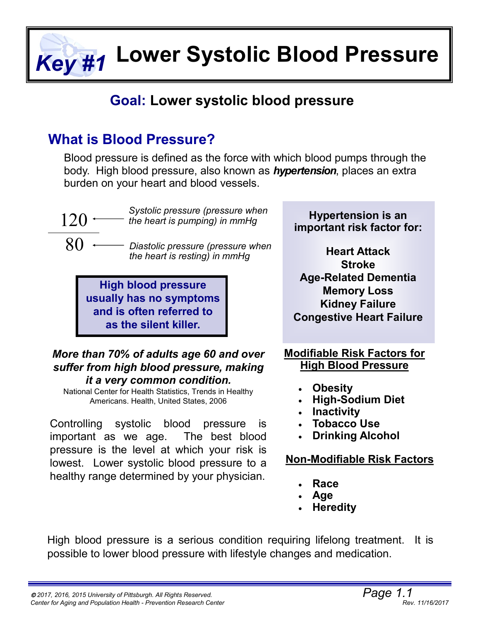**Lower Systolic Blood Pressure** *Key #1*

## **Goal: Lower systolic blood pressure**

## **What is Blood Pressure?**

Blood pressure is defined as the force with which blood pumps through the body. High blood pressure, also known as *hypertension*, places an extra burden on your heart and blood vessels.



*Systolic pressure (pressure when the heart is pumping) in mmHg*

*Diastolic pressure (pressure when the heart is resting) in mmHg*

**High blood pressure usually has no symptoms and is often referred to as the silent killer.**

#### *More than 70% of adults age 60 and over suffer from high blood pressure, making it a very common condition.*

National Center for Health Statistics, Trends in Healthy Americans. Health, United States, 2006

Controlling systolic blood pressure is important as we age. The best blood pressure is the level at which your risk is lowest. Lower systolic blood pressure to a healthy range determined by your physician.

**Hypertension is an important risk factor for:**

**Heart Attack Stroke Age-Related Dementia Memory Loss Kidney Failure Congestive Heart Failure**

**Modifiable Risk Factors for High Blood Pressure**

- **Obesity**
- **High-Sodium Diet**
- **Inactivity**
- **Tobacco Use**
- **Drinking Alcohol**

## **Non-Modifiable Risk Factors**

- **Race**
- **Age**
- **Heredity**

High blood pressure is a serious condition requiring lifelong treatment. It is possible to lower blood pressure with lifestyle changes and medication.

<sup>80</sup>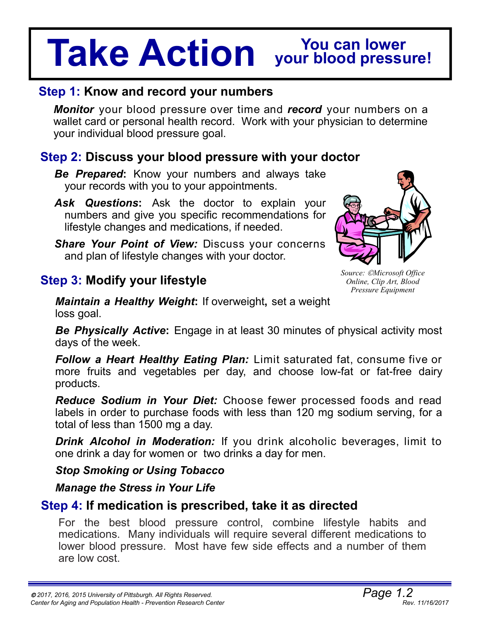# **Take Action You can lower your blood pressure!**

## **Step 1: Know and record your numbers**

*Monitor* your blood pressure over time and *record* your numbers on a wallet card or personal health record. Work with your physician to determine your individual blood pressure goal.

## **Step 2: Discuss your blood pressure with your doctor**

*Be Prepared***:** Know your numbers and always take your records with you to your appointments.

- *Ask Questions***:** Ask the doctor to explain your numbers and give you specific recommendations for lifestyle changes and medications, if needed.
- *Share Your Point of View:* Discuss your concerns and plan of lifestyle changes with your doctor.

## **Step 3: Modify your lifestyle**

*Maintain a Healthy Weight***:** If overweight**,** set a weight loss goal.

**Be Physically Active:** Engage in at least 30 minutes of physical activity most days of the week.

*Follow a Heart Healthy Eating Plan:* Limit saturated fat, consume five or more fruits and vegetables per day, and choose low-fat or fat-free dairy products.

*Reduce Sodium in Your Diet:* Choose fewer processed foods and read labels in order to purchase foods with less than 120 mg sodium serving, for a total of less than 1500 mg a day.

*Drink Alcohol in Moderation:* If you drink alcoholic beverages, limit to one drink a day for women or two drinks a day for men.

## *Stop Smoking or Using Tobacco*

#### *Manage the Stress in Your Life*

## **Step 4: If medication is prescribed, take it as directed**

For the best blood pressure control, combine lifestyle habits and medications. Many individuals will require several different medications to lower blood pressure. Most have few side effects and a number of them are low cost.



*Source: Microsoft Office Online, Clip Art, Blood Pressure Equipment*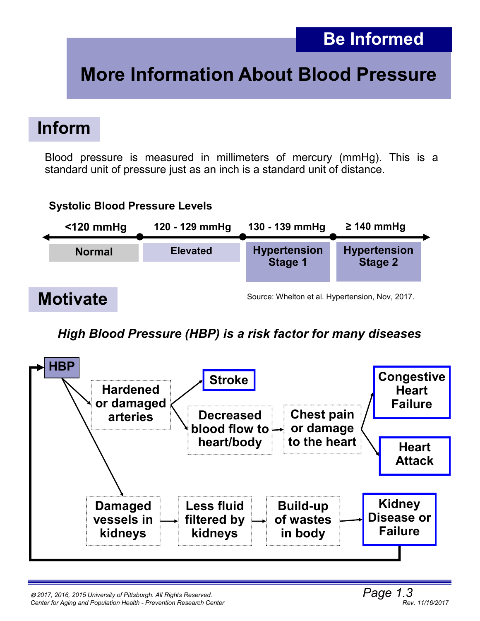# **More Information About Blood Pressure**

## **Inform**

Blood pressure is measured in millimeters of mercury (mmHg). This is a standard unit of pressure just as an inch is a standard unit of distance.

#### **Motivate Normal Systolic Blood Pressure Levels <120 mmHg Elevated Hypertension Stage 1 Hypertension Stage 2 120 - 129 mmHg 130 - 139 mmHg ≥ 140 mmHg** Source: Whelton et al. Hypertension, Nov, 2017.

## *High Blood Pressure (HBP) is a risk factor for many diseases*

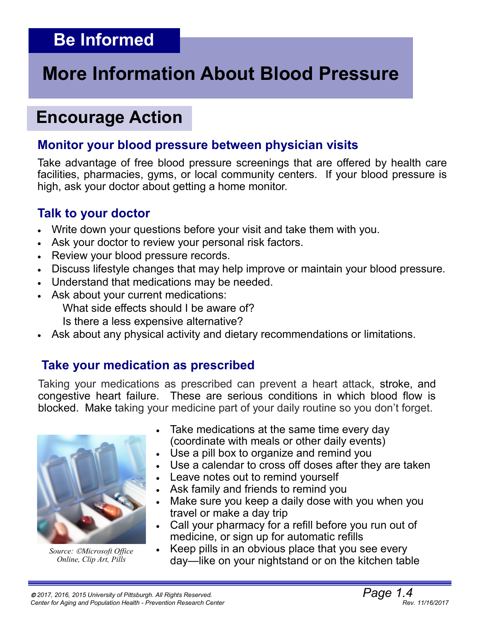# **Be Informed**

# **More Information About Blood Pressure**

## **Encourage Action**

## **Monitor your blood pressure between physician visits**

Take advantage of free blood pressure screenings that are offered by health care facilities, pharmacies, gyms, or local community centers. If your blood pressure is high, ask your doctor about getting a home monitor.

## **Talk to your doctor**

- Write down your questions before your visit and take them with you.
- Ask your doctor to review your personal risk factors.
- Review your blood pressure records.
- Discuss lifestyle changes that may help improve or maintain your blood pressure.
- Understand that medications may be needed.
- Ask about your current medications:

What side effects should I be aware of?

Is there a less expensive alternative?

Ask about any physical activity and dietary recommendations or limitations.

## **Take your medication as prescribed**

Taking your medications as prescribed can prevent a heart attack, stroke, and congestive heart failure. These are serious conditions in which blood flow is blocked. Make taking your medicine part of your daily routine so you don't forget.



*Source: Microsoft Office Online, Clip Art, Pills*

- Take medications at the same time every day (coordinate with meals or other daily events)
- Use a pill box to organize and remind you
- Use a calendar to cross off doses after they are taken
- Leave notes out to remind yourself
- Ask family and friends to remind you
- Make sure you keep a daily dose with you when you travel or make a day trip
- Call your pharmacy for a refill before you run out of medicine, or sign up for automatic refills
- Keep pills in an obvious place that you see every day—like on your nightstand or on the kitchen table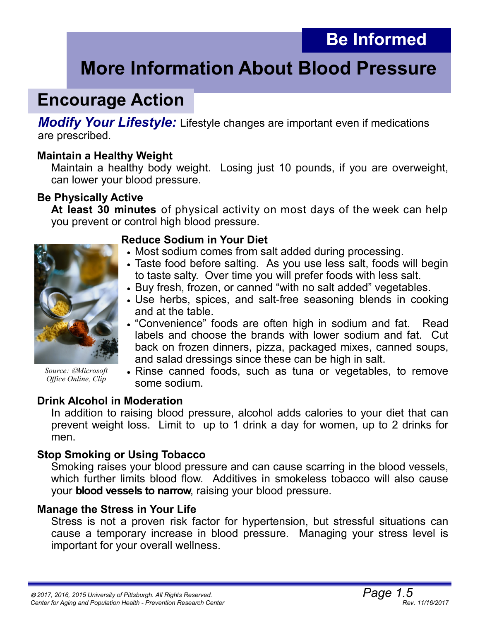## **Be Informed**

# **More Information About Blood Pressure**

## **Encourage Action**

*Modify Your Lifestyle:* Lifestyle changes are important even if medications are prescribed.

#### **Maintain a Healthy Weight**

Maintain a healthy body weight. Losing just 10 pounds, if you are overweight, can lower your blood pressure.

#### **Be Physically Active**

**At least 30 minutes** of physical activity on most days of the week can help you prevent or control high blood pressure.



*Source: Microsoft Office Online, Clip*

#### **Reduce Sodium in Your Diet**

- Most sodium comes from salt added during processing.
- Taste food before salting. As you use less salt, foods will begin to taste salty. Over time you will prefer foods with less salt.
- Buy fresh, frozen, or canned "with no salt added" vegetables.
- Use herbs, spices, and salt-free seasoning blends in cooking and at the table.
- "Convenience" foods are often high in sodium and fat.Read labels and choose the brands with lower sodium and fat. Cut back on frozen dinners, pizza, packaged mixes, canned soups, and salad dressings since these can be high in salt.
- Rinse canned foods, such as tuna or vegetables, to remove some sodium.

#### **Drink Alcohol in Moderation**

In addition to raising blood pressure, alcohol adds calories to your diet that can prevent weight loss. Limit to up to 1 drink a day for women, up to 2 drinks for men.

#### **Stop Smoking or Using Tobacco**

Smoking raises your blood pressure and can cause scarring in the blood vessels, which further limits blood flow. Additives in smokeless tobacco will also cause your **blood vessels to narrow**, raising your blood pressure.

#### **Manage the Stress in Your Life**

Stress is not a proven risk factor for hypertension, but stressful situations can cause a temporary increase in blood pressure. Managing your stress level is important for your overall wellness.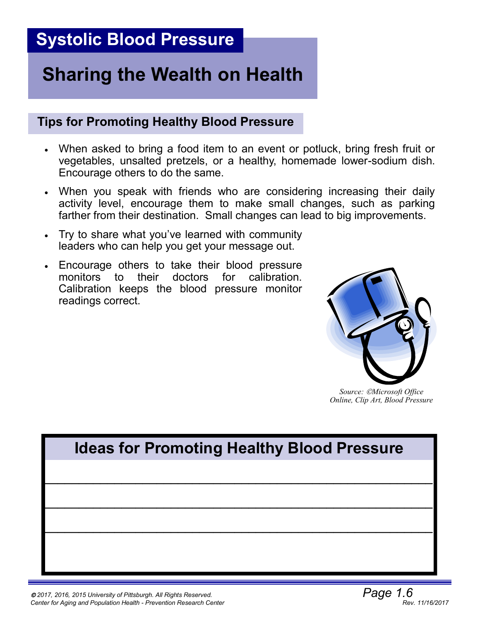# **Sharing the Wealth on Health**

#### **Tips for Promoting Healthy Blood Pressure**

- When asked to bring a food item to an event or potluck, bring fresh fruit or vegetables, unsalted pretzels, or a healthy, homemade lower-sodium dish. Encourage others to do the same.
- When you speak with friends who are considering increasing their daily activity level, encourage them to make small changes, such as parking farther from their destination. Small changes can lead to big improvements.
- Try to share what you've learned with community leaders who can help you get your message out.
- Encourage others to take their blood pressure monitors to their doctors for calibration. Calibration keeps the blood pressure monitor readings correct.



*Source: Microsoft Office Online, Clip Art, Blood Pressure*

# **\_\_\_\_\_\_\_\_\_\_\_\_\_\_\_\_\_\_\_\_\_\_\_\_\_\_\_\_\_\_\_\_\_\_\_\_\_\_\_\_\_\_\_\_\_\_\_\_\_\_\_\_\_\_\_ \_\_\_\_\_\_\_\_\_\_\_\_\_\_\_\_\_\_\_\_\_\_\_\_\_\_\_\_\_\_\_\_\_\_\_\_\_\_\_\_\_\_\_\_\_\_\_\_\_\_\_\_\_\_\_ \_\_\_\_\_\_\_\_\_\_\_\_\_\_\_\_\_\_\_\_\_\_\_\_\_\_\_\_\_\_\_\_\_\_\_\_\_\_\_\_\_\_\_\_\_\_\_\_\_\_\_\_\_\_\_ Ideas for Promoting Healthy Blood Pressure**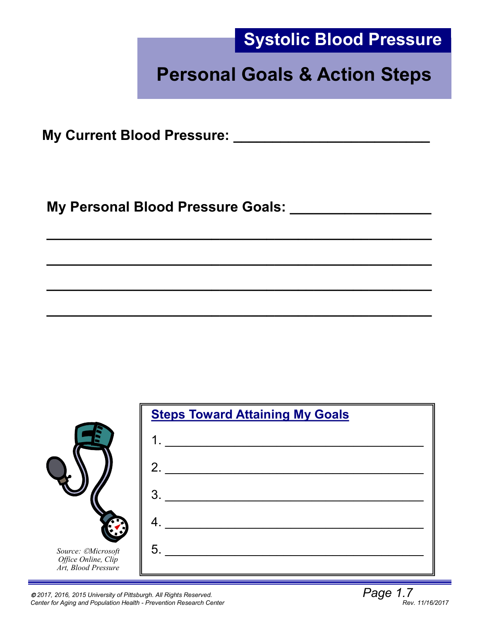

# **Personal Goals & Action Steps**

**My Current Blood Pressure: \_\_\_\_\_\_\_\_\_\_\_\_\_\_\_\_\_\_\_\_\_\_\_\_\_**

**My Personal Blood Pressure Goals: \_\_\_\_\_\_\_\_\_\_\_\_\_\_\_\_\_\_**



**\_\_\_\_\_\_\_\_\_\_\_\_\_\_\_\_\_\_\_\_\_\_\_\_\_\_\_\_\_\_\_\_\_\_\_\_\_\_\_\_\_\_\_\_\_\_\_\_\_**

**\_\_\_\_\_\_\_\_\_\_\_\_\_\_\_\_\_\_\_\_\_\_\_\_\_\_\_\_\_\_\_\_\_\_\_\_\_\_\_\_\_\_\_\_\_\_\_\_\_** 

**\_\_\_\_\_\_\_\_\_\_\_\_\_\_\_\_\_\_\_\_\_\_\_\_\_\_\_\_\_\_\_\_\_\_\_\_\_\_\_\_\_\_\_\_\_\_\_\_\_**

**\_\_\_\_\_\_\_\_\_\_\_\_\_\_\_\_\_\_\_\_\_\_\_\_\_\_\_\_\_\_\_\_\_\_\_\_\_\_\_\_\_\_\_\_\_\_\_\_\_** 

*2017, 2016, 2015 University of Pittsburgh. All Rights Reserved. Page 1.7 Center for Aging and Population Health - Prevention Research Center*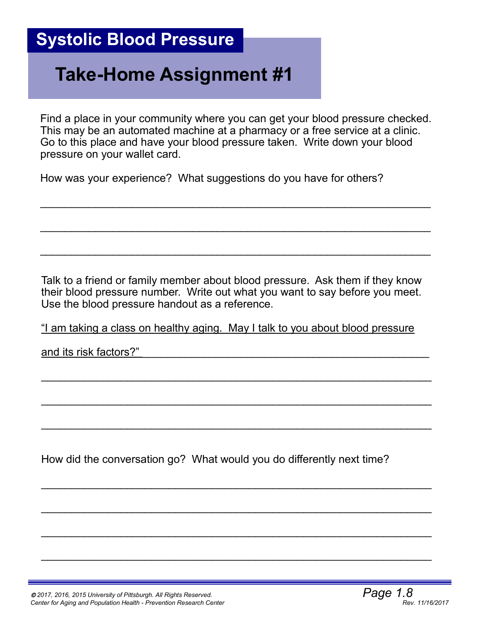# **Take-Home Assignment #1**

Find a place in your community where you can get your blood pressure checked. This may be an automated machine at a pharmacy or a free service at a clinic. Go to this place and have your blood pressure taken. Write down your blood pressure on your wallet card.

 $\mathcal{L}_\text{max}$  , and the contract of the contract of the contract of the contract of the contract of the contract of the contract of the contract of the contract of the contract of the contract of the contract of the contr

 $\_$ 

 $\_$ 

How was your experience? What suggestions do you have for others?

Talk to a friend or family member about blood pressure. Ask them if they know their blood pressure number. Write out what you want to say before you meet. Use the blood pressure handout as a reference.

"I am taking a class on healthy aging. May I talk to you about blood pressure

 $\mathcal{L}_\text{max}$  , and the contract of the contract of the contract of the contract of the contract of the contract of the contract of the contract of the contract of the contract of the contract of the contract of the contr

 $\mathcal{L}_\text{max}$  , and the contract of the contract of the contract of the contract of the contract of the contract of the contract of the contract of the contract of the contract of the contract of the contract of the contr

 $\mathcal{L}_\text{max}$  , and the contract of the contract of the contract of the contract of the contract of the contract of the contract of the contract of the contract of the contract of the contract of the contract of the contr

 $\mathcal{L}_\text{max}$  , and the contract of the contract of the contract of the contract of the contract of the contract of the contract of the contract of the contract of the contract of the contract of the contract of the contr

 $\mathcal{L}_\text{max}$  , and the contract of the contract of the contract of the contract of the contract of the contract of the contract of the contract of the contract of the contract of the contract of the contract of the contr

 $\mathcal{L}_\text{max}$  , and the contribution of the contribution of the contribution of the contribution of the contribution of the contribution of the contribution of the contribution of the contribution of the contribution of t

 $\mathcal{L}_\text{max}$  , and the contribution of the contribution of the contribution of the contribution of the contribution of the contribution of the contribution of the contribution of the contribution of the contribution of t

and its risk factors?"

How did the conversation go? What would you do differently next time?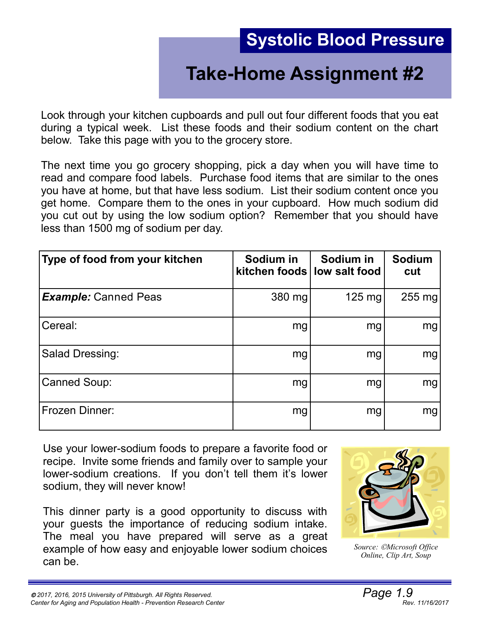# **Take-Home Assignment #2**

Look through your kitchen cupboards and pull out four different foods that you eat during a typical week. List these foods and their sodium content on the chart below. Take this page with you to the grocery store.

The next time you go grocery shopping, pick a day when you will have time to read and compare food labels. Purchase food items that are similar to the ones you have at home, but that have less sodium. List their sodium content once you get home. Compare them to the ones in your cupboard. How much sodium did you cut out by using the low sodium option? Remember that you should have less than 1500 mg of sodium per day.

| Type of food from your kitchen | Sodium in<br>kitchen foods low salt food | Sodium in        | <b>Sodium</b><br>cut |
|--------------------------------|------------------------------------------|------------------|----------------------|
| <b>Example:</b> Canned Peas    | 380 mg                                   | $125 \text{ mg}$ | 255 mg               |
| Cereal:                        | mg                                       | mg               | mg                   |
| Salad Dressing:                | mg                                       | mg               | mg                   |
| <b>Canned Soup:</b>            | mg                                       | mg               | mg                   |
| Frozen Dinner:                 | mg                                       | mg               | mg                   |

Use your lower-sodium foods to prepare a favorite food or recipe. Invite some friends and family over to sample your lower-sodium creations. If you don't tell them it's lower sodium, they will never know!

This dinner party is a good opportunity to discuss with your guests the importance of reducing sodium intake. The meal you have prepared will serve as a great example of how easy and enjoyable lower sodium choices can be.



*Source: Microsoft Office Online, Clip Art, Soup*